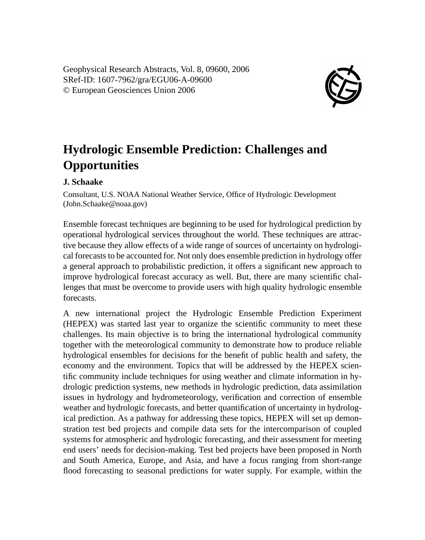Geophysical Research Abstracts, Vol. 8, 09600, 2006 SRef-ID: 1607-7962/gra/EGU06-A-09600 © European Geosciences Union 2006



## **Hydrologic Ensemble Prediction: Challenges and Opportunities**

## **J. Schaake**

Consultant, U.S. NOAA National Weather Service, Office of Hydrologic Development (John.Schaake@noaa.gov)

Ensemble forecast techniques are beginning to be used for hydrological prediction by operational hydrological services throughout the world. These techniques are attractive because they allow effects of a wide range of sources of uncertainty on hydrological forecasts to be accounted for. Not only does ensemble prediction in hydrology offer a general approach to probabilistic prediction, it offers a significant new approach to improve hydrological forecast accuracy as well. But, there are many scientific challenges that must be overcome to provide users with high quality hydrologic ensemble forecasts.

A new international project the Hydrologic Ensemble Prediction Experiment (HEPEX) was started last year to organize the scientific community to meet these challenges. Its main objective is to bring the international hydrological community together with the meteorological community to demonstrate how to produce reliable hydrological ensembles for decisions for the benefit of public health and safety, the economy and the environment. Topics that will be addressed by the HEPEX scientific community include techniques for using weather and climate information in hydrologic prediction systems, new methods in hydrologic prediction, data assimilation issues in hydrology and hydrometeorology, verification and correction of ensemble weather and hydrologic forecasts, and better quantification of uncertainty in hydrological prediction. As a pathway for addressing these topics, HEPEX will set up demonstration test bed projects and compile data sets for the intercomparison of coupled systems for atmospheric and hydrologic forecasting, and their assessment for meeting end users' needs for decision-making. Test bed projects have been proposed in North and South America, Europe, and Asia, and have a focus ranging from short-range flood forecasting to seasonal predictions for water supply. For example, within the